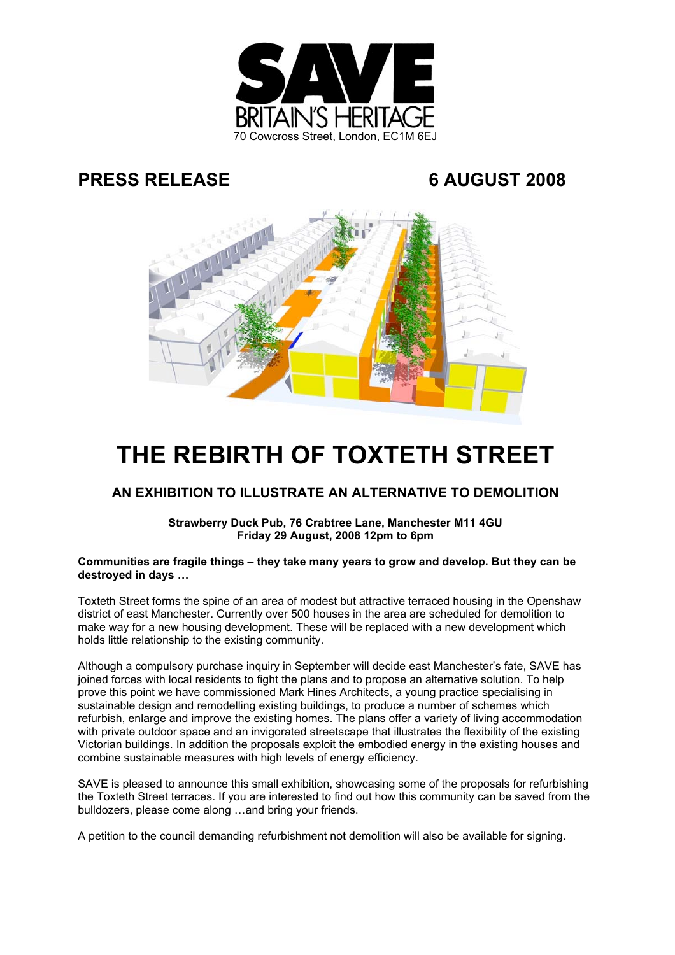

# **PRESS RELEASE 6 AUGUST 2008**



# **THE REBIRTH OF TOXTETH STREET**

# **AN EXHIBITION TO ILLUSTRATE AN ALTERNATIVE TO DEMOLITION**

**Strawberry Duck Pub, 76 Crabtree Lane, Manchester M11 4GU Friday 29 August, 2008 12pm to 6pm**

## **Communities are fragile things – they take many years to grow and develop. But they can be destroyed in days …**

Toxteth Street forms the spine of an area of modest but attractive terraced housing in the Openshaw district of east Manchester. Currently over 500 houses in the area are scheduled for demolition to make way for a new housing development. These will be replaced with a new development which holds little relationship to the existing community.

Although a compulsory purchase inquiry in September will decide east Manchester's fate, SAVE has joined forces with local residents to fight the plans and to propose an alternative solution. To help prove this point we have commissioned Mark Hines Architects, a young practice specialising in sustainable design and remodelling existing buildings, to produce a number of schemes which refurbish, enlarge and improve the existing homes. The plans offer a variety of living accommodation with private outdoor space and an invigorated streetscape that illustrates the flexibility of the existing Victorian buildings. In addition the proposals exploit the embodied energy in the existing houses and combine sustainable measures with high levels of energy efficiency.

SAVE is pleased to announce this small exhibition, showcasing some of the proposals for refurbishing the Toxteth Street terraces. If you are interested to find out how this community can be saved from the bulldozers, please come along …and bring your friends.

A petition to the council demanding refurbishment not demolition will also be available for signing.